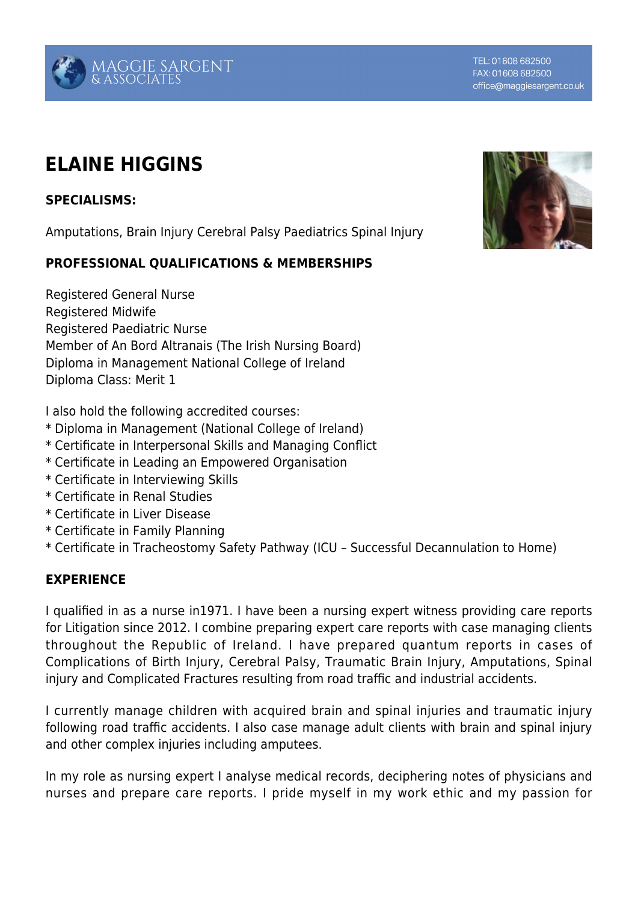# MAGGIE SARGENT<br>& associates

# **ELAINE HIGGINS**

## **SPECIALISMS:**

Amputations, Brain Injury Cerebral Palsy Paediatrics Spinal Injury

### **PROFESSIONAL QUALIFICATIONS & MEMBERSHIPS**

Registered General Nurse Registered Midwife Registered Paediatric Nurse Member of An Bord Altranais (The Irish Nursing Board) Diploma in Management National College of Ireland Diploma Class: Merit 1

I also hold the following accredited courses:

- \* Diploma in Management (National College of Ireland)
- \* Certificate in Interpersonal Skills and Managing Conflict
- \* Certificate in Leading an Empowered Organisation
- \* Certificate in Interviewing Skills
- \* Certificate in Renal Studies
- \* Certificate in Liver Disease
- \* Certificate in Family Planning
- \* Certificate in Tracheostomy Safety Pathway (ICU Successful Decannulation to Home)

### **EXPERIENCE**

I qualified in as a nurse in1971. I have been a nursing expert witness providing care reports for Litigation since 2012. I combine preparing expert care reports with case managing clients throughout the Republic of Ireland. I have prepared quantum reports in cases of Complications of Birth Injury, Cerebral Palsy, Traumatic Brain Injury, Amputations, Spinal injury and Complicated Fractures resulting from road traffic and industrial accidents.

I currently manage children with acquired brain and spinal injuries and traumatic injury following road traffic accidents. I also case manage adult clients with brain and spinal injury and other complex injuries including amputees.

In my role as nursing expert I analyse medical records, deciphering notes of physicians and nurses and prepare care reports. I pride myself in my work ethic and my passion for



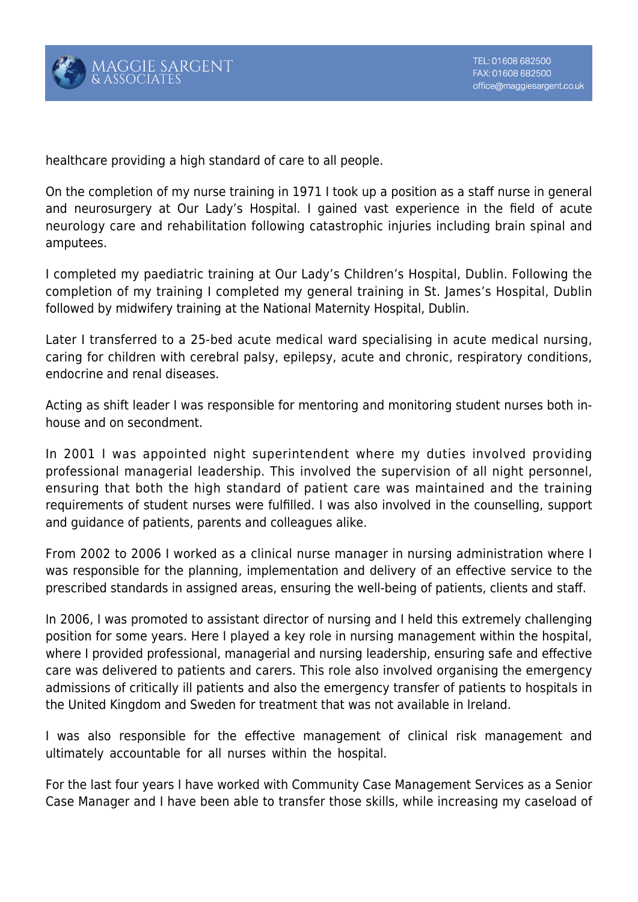

healthcare providing a high standard of care to all people.

On the completion of my nurse training in 1971 I took up a position as a staff nurse in general and neurosurgery at Our Lady's Hospital. I gained vast experience in the field of acute neurology care and rehabilitation following catastrophic injuries including brain spinal and amputees.

I completed my paediatric training at Our Lady's Children's Hospital, Dublin. Following the completion of my training I completed my general training in St. James's Hospital, Dublin followed by midwifery training at the National Maternity Hospital, Dublin.

Later I transferred to a 25-bed acute medical ward specialising in acute medical nursing, caring for children with cerebral palsy, epilepsy, acute and chronic, respiratory conditions, endocrine and renal diseases.

Acting as shift leader I was responsible for mentoring and monitoring student nurses both inhouse and on secondment.

In 2001 I was appointed night superintendent where my duties involved providing professional managerial leadership. This involved the supervision of all night personnel, ensuring that both the high standard of patient care was maintained and the training requirements of student nurses were fulfilled. I was also involved in the counselling, support and guidance of patients, parents and colleagues alike.

From 2002 to 2006 I worked as a clinical nurse manager in nursing administration where I was responsible for the planning, implementation and delivery of an effective service to the prescribed standards in assigned areas, ensuring the well-being of patients, clients and staff.

In 2006, I was promoted to assistant director of nursing and I held this extremely challenging position for some years. Here I played a key role in nursing management within the hospital, where I provided professional, managerial and nursing leadership, ensuring safe and effective care was delivered to patients and carers. This role also involved organising the emergency admissions of critically ill patients and also the emergency transfer of patients to hospitals in the United Kingdom and Sweden for treatment that was not available in Ireland.

I was also responsible for the effective management of clinical risk management and ultimately accountable for all nurses within the hospital.

For the last four years I have worked with Community Case Management Services as a Senior Case Manager and I have been able to transfer those skills, while increasing my caseload of